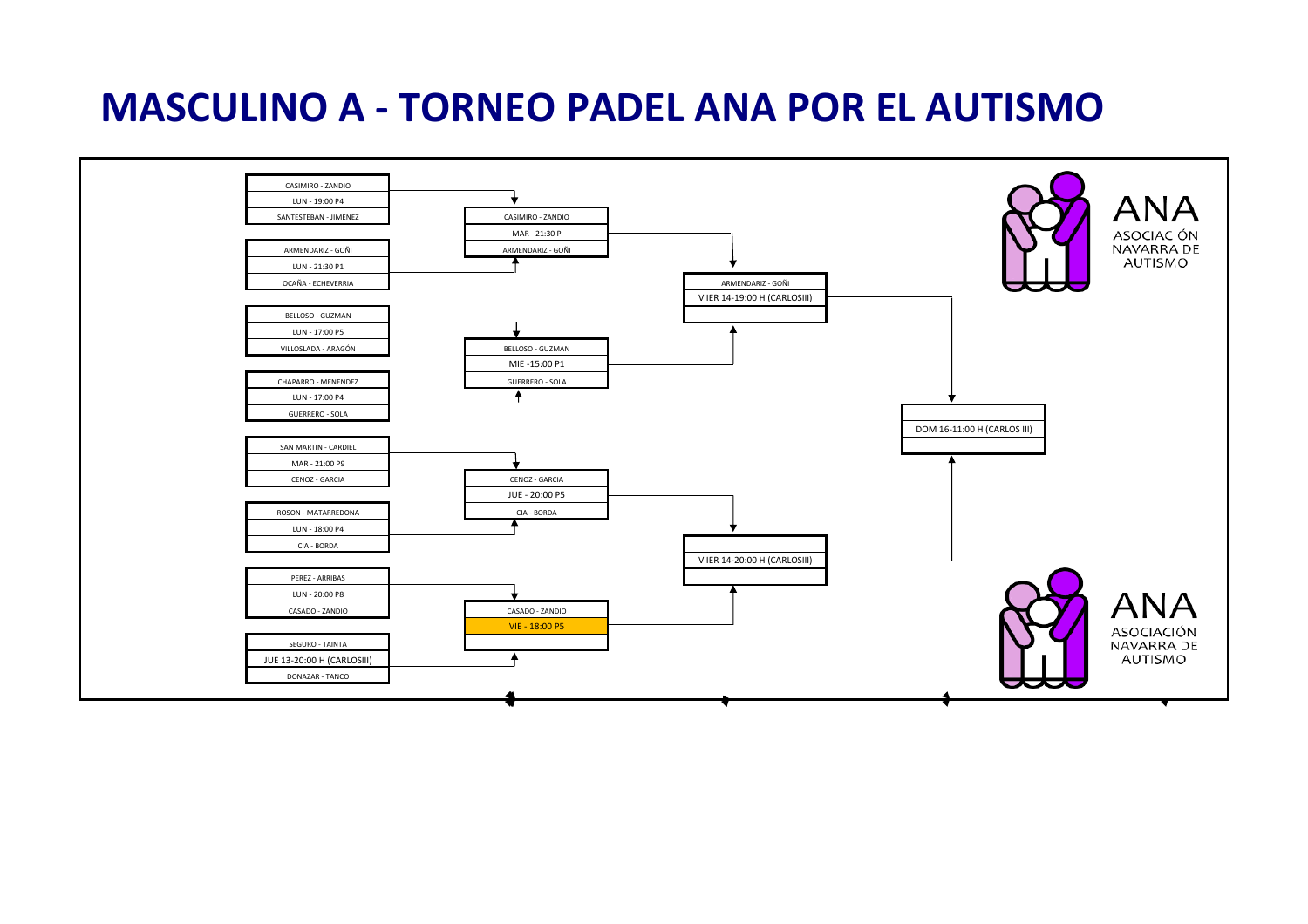## **MASCULINO A - TORNEO PADEL ANA POR EL AUTISMO**

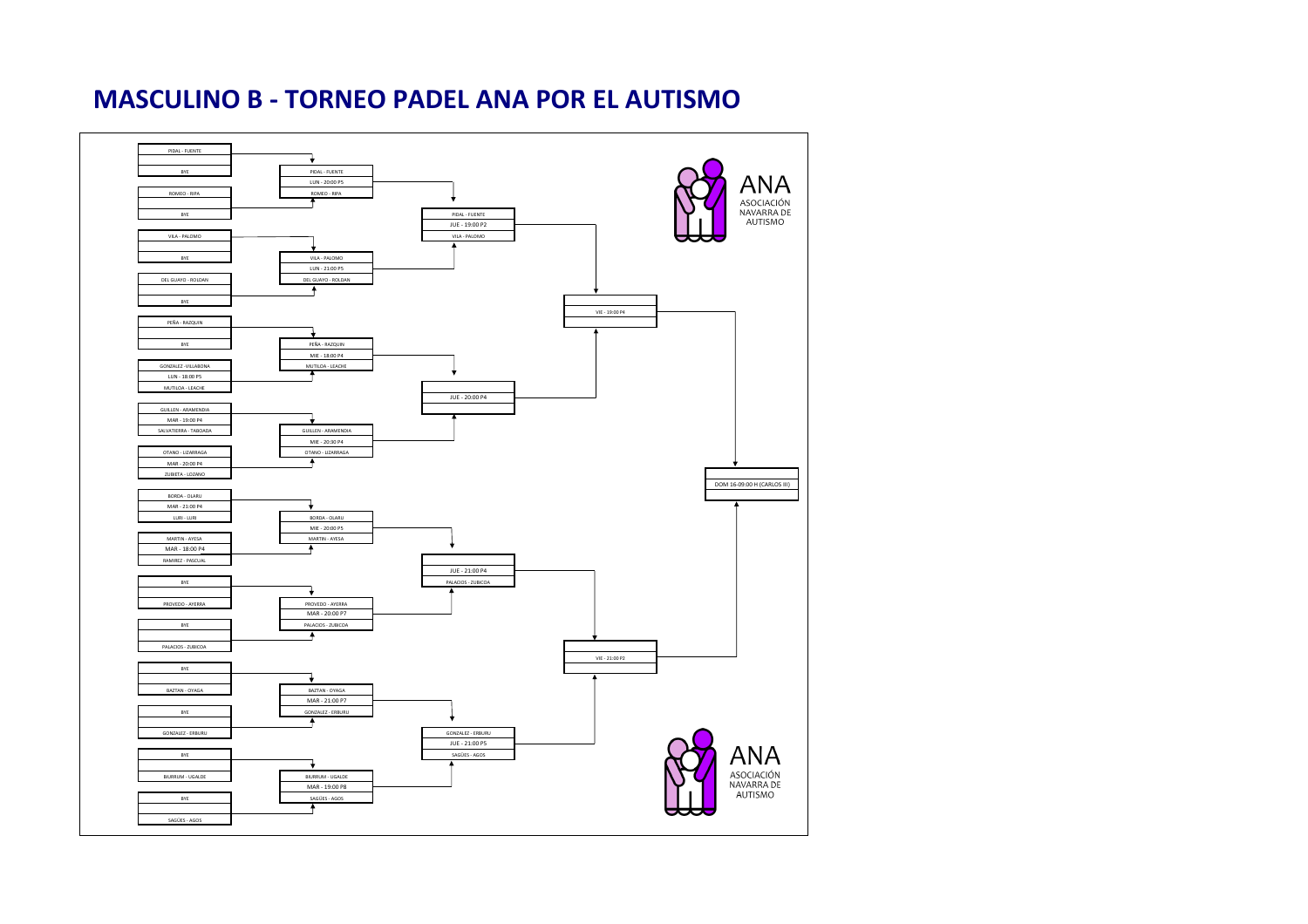#### **MASCULINO B - TORNEO PADEL ANA POR EL AUTISMO**

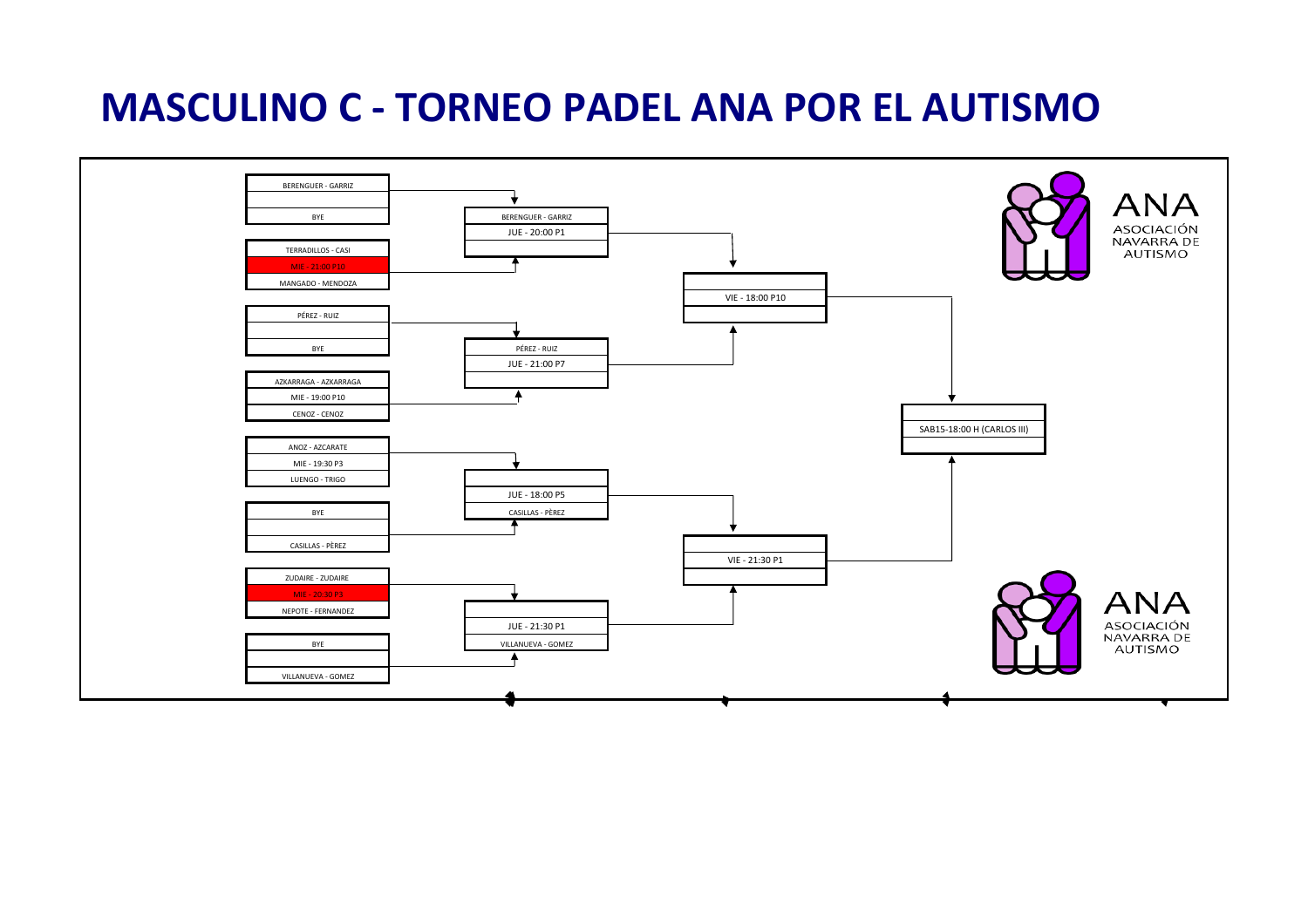## **MASCULINO C - TORNEO PADEL ANA POR EL AUTISMO**

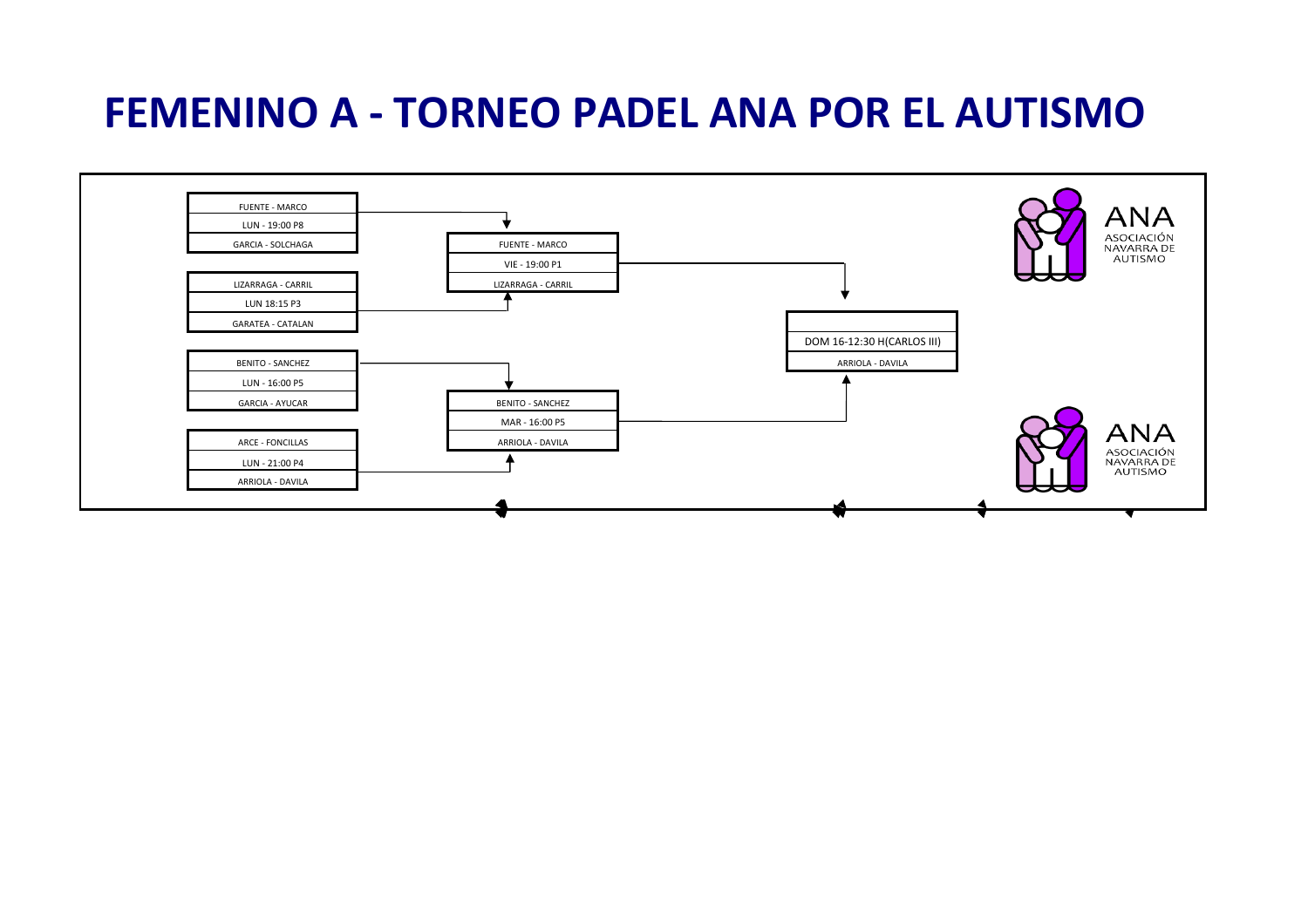# **FEMENINO A - TORNEO PADEL ANA POR EL AUTISMO**

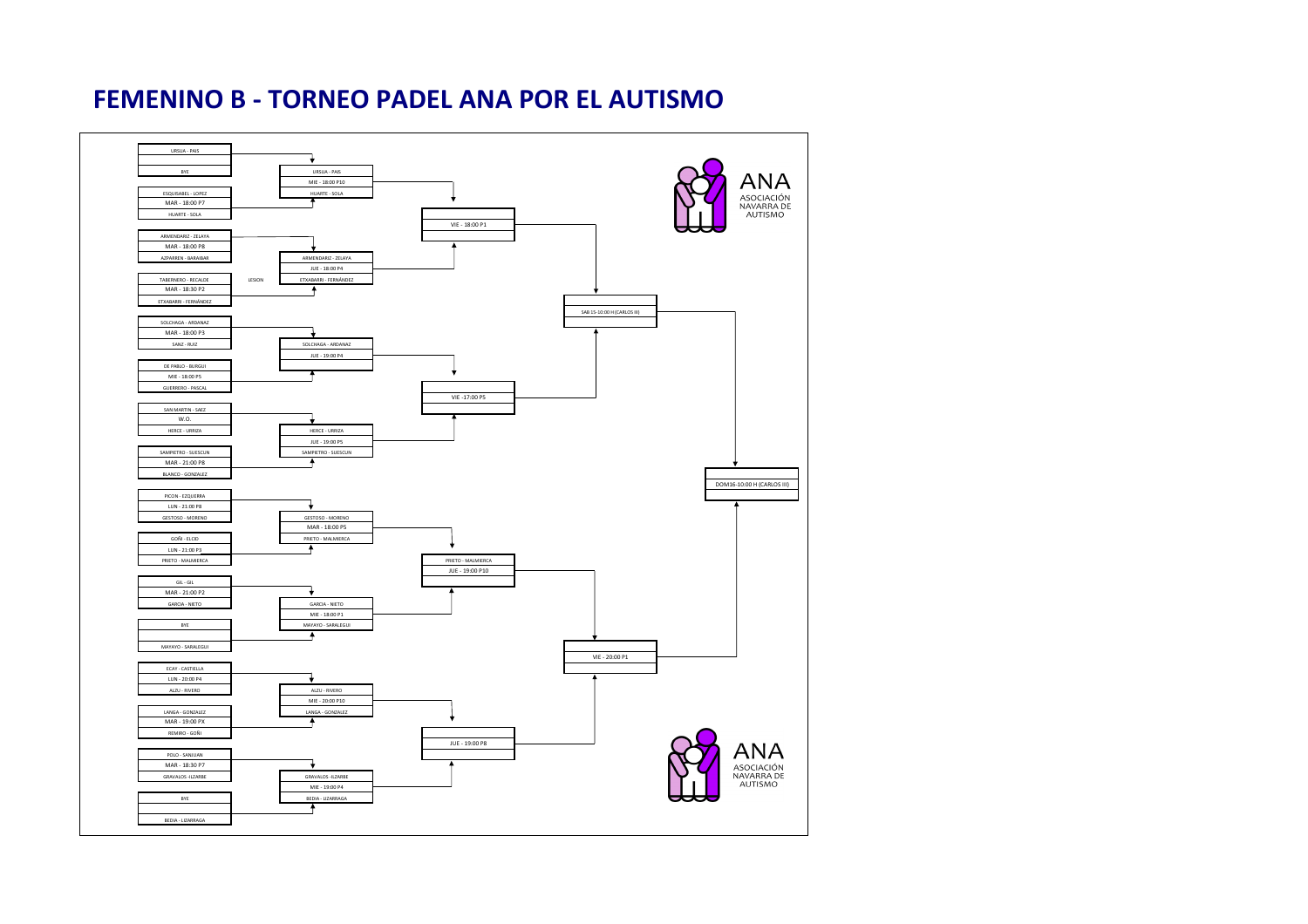#### **FEMENINO B - TORNEO PADEL ANA POR EL AUTISMO**

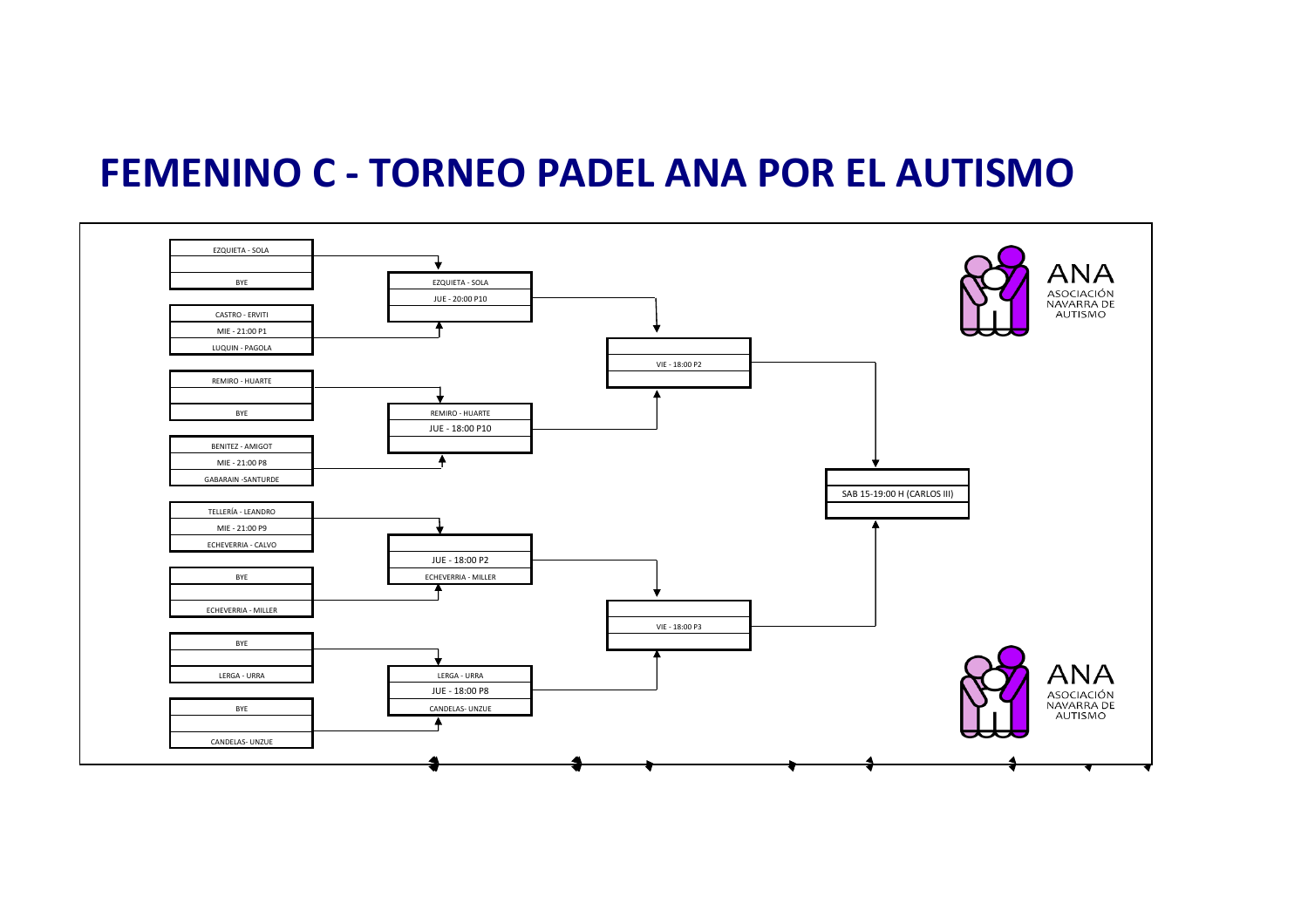### **FEMENINO C - TORNEO PADEL ANA POR EL AUTISMO**

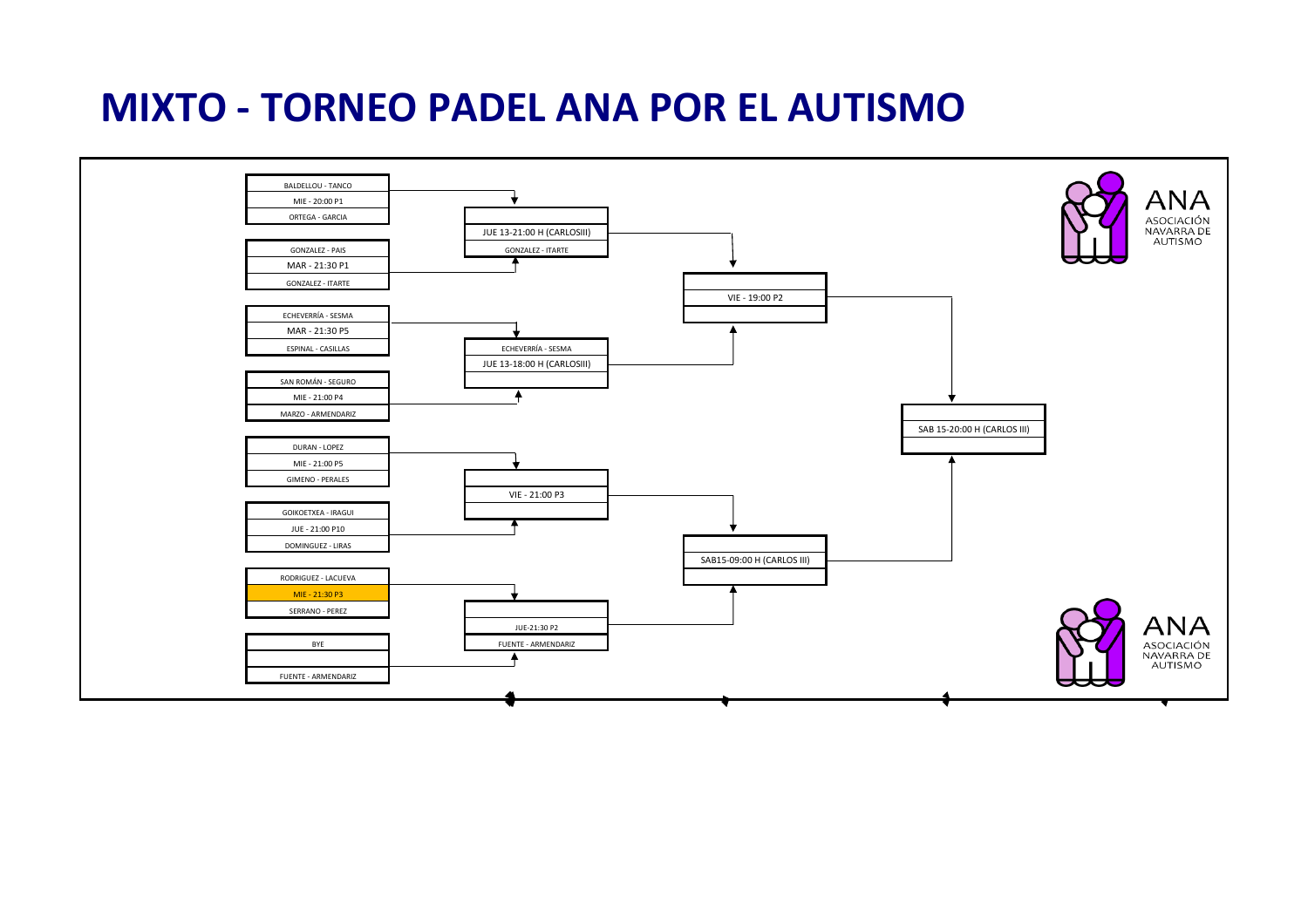## **MIXTO - TORNEO PADEL ANA POR EL AUTISMO**